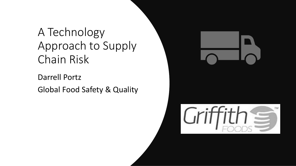### A Technology Approach to Supply Chain Risk

Darrell Portz Global Food Safety & Quality

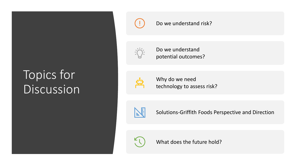## Topics for Discussion



### Do we understand risk?



Do we understand potential outcomes?



Why do we need technology to assess risk?



Solutions-Griffith Foods Perspective and Direction



What does the future hold?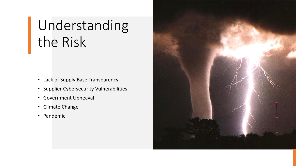# Understanding the Risk

- Lack of Supply Base Transparency
- Supplier Cybersecurity Vulnerabilities
- Government Upheaval
- Climate Change
- Pandemic

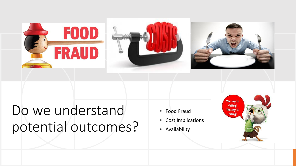

# Do we understand potential outcomes?

- Food Fraud
- Cost Implications
- Availability

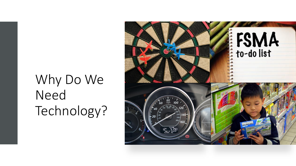# Why Do We Need Technology?

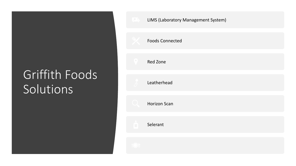## Griffith Foods **Solutions**

| <b>Example 20 EIMS (Laboratory Management System)</b> |
|-------------------------------------------------------|
| <b>Foods Connected</b>                                |
| <b>Red Zone</b>                                       |
| Leatherhead                                           |
| <b>Horizon Scan</b>                                   |
| Selerant                                              |
|                                                       |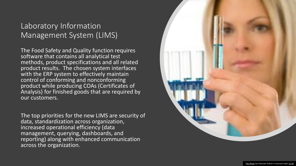### Laboratory Information Management System (LIMS)

The Food Safety and Quality function requires software that contains all analytical test methods, product specifications and all related product results. The chosen system interfaces with the ERP system to effectively maintain control of conforming and nonconforming product while producing COAs (Certificates of Analysis) for finished goods that are required by our customers.

The top priorities for the new LIMS are security of data, standardization across organization, increased operational efficiency (data management, querying, dashboards, and reporting) along with enhanced communication across the organization.

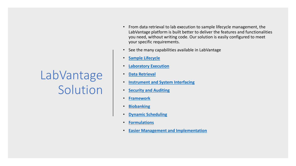## LabVantage Solution

- From data retrieval to lab execution to sample lifecycle management, the LabVantage platform is built better to deliver the features and functionalities you need, without writing code. Our solution is easily configured to meet your specific requirements.
- See the many capabilities available in LabVantage
- **[Sample Lifecycle](https://www.labvantage.com/our-platform/capabilities/#9a62a7be2365a9a22)**
- **[Laboratory Execution](https://www.labvantage.com/our-platform/capabilities/#956a26cd21df2cc24)**
- **[Data Retrieval](https://www.labvantage.com/our-platform/capabilities/#c048ad107688db1de)**
- **[Instrument and System Interfacing](https://www.labvantage.com/our-platform/capabilities/#6ba36c8ce2fad6e26)**
- **[Security and Auditing](https://www.labvantage.com/our-platform/capabilities/#c23a66a66d6fad619)**
- **[Framework](https://www.labvantage.com/our-platform/capabilities/#f0ba91fc321018dfb)**
- **[Biobanking](https://www.labvantage.com/our-platform/capabilities/#8154c11124009ad12)**
- **[Dynamic Scheduling](https://www.labvantage.com/our-platform/capabilities/#a719aa9985f042ee3)**
- **[Formulations](https://www.labvantage.com/our-platform/capabilities/#05f756f9151006c6e)**
- **[Easier Management and Implementation](https://www.labvantage.com/our-platform/capabilities/#6f6c375090c159b96)**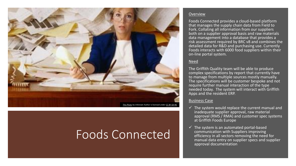

### Foods Connected

#### **Overview**

Foods Connected provides a cloud-based platform that manages the supply chain data from Field to Fork. Collating all information from our suppliers both on a supplier approval basis and raw materials data management into a database that provides a risk assessment required by BRC v8 and combines the detailed data for R&D and purchasing use. Currently Foods interacts with 6000 food suppliers within their on-line portal system.

#### Need

The Griffith Quality team will be able to produce complex specifications by report that currently have to manage from multiple sources mostly manually. The specifications will be customer bespoke and not require further manual interaction of the type needed today. The system will interact with Griffith Apps and the resident ERP.

#### Business Case

- $\checkmark$  The system would replace the current manual and inadequate supplier approval, raw material approval (RMS / RMA) and customer spec systems at Griffith Foods Europe
- $\checkmark$  The system is an automated portal-based communication with Suppliers improving efficiency in all sectors removing the need for manual data entry on supplier specs and supplier approval documentation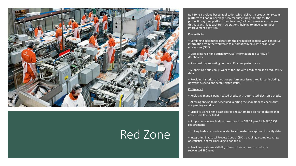

### Red Zone

Red Zone is a Cloud based application which delivers a production system platform to Food & Beverage/CPG manufacturing operations. The production system platform monitors line/cell performance and merges this data with feedback from Operations, helping to drive continuous improvement activities.

#### **Productivity**

• Combining automated data from the production process with contextual information from the workforce to automatically calculate production efficiencies (OEE)

• Displaying real time efficiency (OEE) information in a variety of dashboards

• Standardizing reporting on run, shift, crew performance

• Supporting hourly daily, weekly, forums with production and productivity data

• Providing historical analysis on performance issues; top losses including downtime, speed and scrap related issues

#### **Compliance**

- Replacing manual paper-based checks with automated electronic checks
- Allowing checks to be scheduled, alerting the shop floor to checks that are pending and due

• Visibility via real time dashboards and automated alerts for checks that are missed, late or failed

- Supporting electronic signatures based on CFR 21 part 11 & BRC/ SQF requirements
- Linking to devices such as scales to automate the capture of quality data

• Integrating Statistical Process Control (SPC), enabling a complete range of statistical analysis including X bar and R

• Providing real-time visibility of control state based on industry recognized SPC rules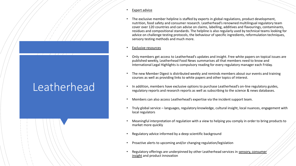## Leatherhead

- Expert advice
- The exclusive member helpline is staffed by experts in global regulations, product development, nutrition, food safety and consumer research. Leatherhead's renowned multilingual regulatory team cover over 120 countries and can advise on claims, labelling, additives and flavourings, contaminants, residues and compositional standards. The helpline is also regularly used by technical teams looking for advice on challenge testing protocols, the behaviour of specific ingredients, reformulation techniques, sensory testing methods and much more.
- **Exclusive resources**
- Only members get access to Leatherhead's updates and insight. Free white papers on topical issues are published weekly, Leatherhead Food News summarises all that members need to know and International Legal Highlights is compulsory reading for every regulatory manager each Friday.
- The new Member Digest is distributed weekly and reminds members about our events and training courses as well as providing links to white papers and other topics of interest.
- In addition, members have exclusive options to purchase Leatherhead's on-line regulatory guides, regulatory reports and research reports as well as subscribing to the science & news databases.
- Members can also access Leatherhead's expertise via the incident support team.
- Truly global service languages, regulatory knowledge, cultural insight, local nuances, engagement with local regulators
- Meaningful interpretation of regulation with a view to helping you comply in order to bring products to market more quickly
- Regulatory advice informed by a deep scientific background
- Proactive alerts to upcoming and/or changing regulation/legislation
- [Regulatory offerings are underpinned by other Leatherhead services in](https://www.leatherheadfood.com/services/#consumer-insight-sensory-testing) sensory, consumer insight and product innovation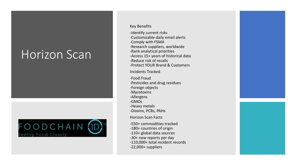### Horizon Scan



Key Benefits

-Identify current risks -Customizable daily email alerts -Comply with FSMA -Research suppliers, worldwide -Rank analytical priorities -Access 15+ years of historical data -Reduce risk of recalls -Protect YOUR Brand & Customers

Incidents Tracked

-Food Fraud -Pesticides and drug residues -Foreign objects

-Mycotoxins

-Allergens

-GMOs

-Heavy metals

-Dioxins, PCBs, PAHs

Horizon Scan Facts

-550+ commodities tracked -180+ countries of origin -110+ global data sources -30+ new reports per day -110,000+ total incident records -22,000+ suppliers

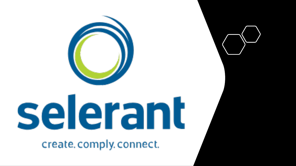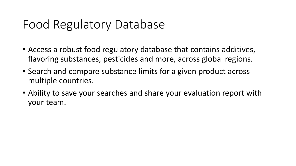### Food Regulatory Database

- Access a robust food regulatory database that contains additives, flavoring substances, pesticides and more, across global regions.
- Search and compare substance limits for a given product across multiple countries.
- Ability to save your searches and share your evaluation report with your team.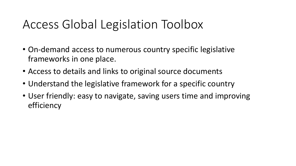### Access Global Legislation Toolbox

- On-demand access to numerous country specific legislative frameworks in one place.
- Access to details and links to original source documents
- Understand the legislative framework for a specific country
- User friendly: easy to navigate, saving users time and improving efficiency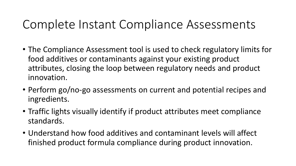### Complete Instant Compliance Assessments

- The Compliance Assessment tool is used to check regulatory limits for food additives or contaminants against your existing product attributes, closing the loop between regulatory needs and product innovation.
- Perform go/no-go assessments on current and potential recipes and ingredients.
- Traffic lights visually identify if product attributes meet compliance standards.
- Understand how food additives and contaminant levels will affect finished product formula compliance during product innovation.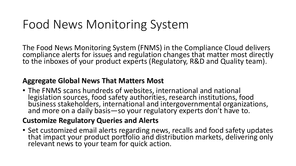## Food News Monitoring System

The Food News Monitoring System (FNMS) in the Compliance Cloud delivers compliance alerts for issues and regulation changes that matter most directly to the inboxes of your product experts (Regulatory, R&D and Quality team).

### **Aggregate Global News That Matters Most**

• The FNMS scans hundreds of websites, international and national legislation sources, food safety authorities, research institutions, food business stakeholders, international and intergovernmental organizations, and more on a daily basis—so your regulatory experts don't have to.

### **Customize Regulatory Queries and Alerts**

• Set customized email alerts regarding news, recalls and food safety updates that impact your product portfolio and distribution markets, delivering only relevant news to your team for quick action.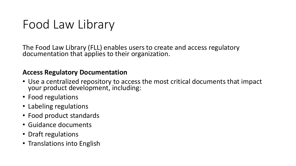## Food Law Library

The Food Law Library (FLL) enables users to create and access regulatory documentation that applies to their organization.

### **Access Regulatory Documentation**

- Use a centralized repository to access the most critical documents that impact your product development, including:
- Food regulations
- Labeling regulations
- Food product standards
- Guidance documents
- Draft regulations
- Translations into English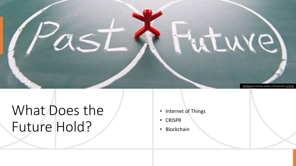

# What Does the Future Hold?

- Internet of Things
- CRISPR
- Blockchain